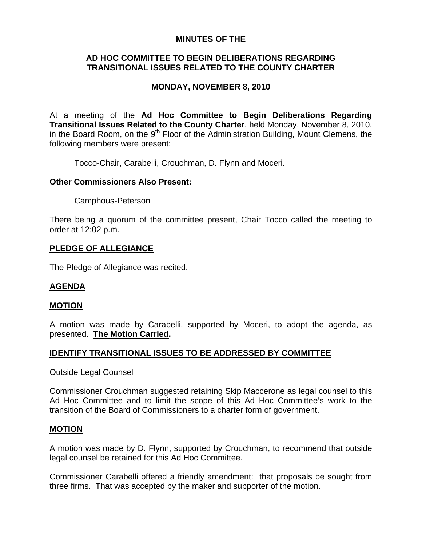### **MINUTES OF THE**

# **AD HOC COMMITTEE TO BEGIN DELIBERATIONS REGARDING TRANSITIONAL ISSUES RELATED TO THE COUNTY CHARTER**

# **MONDAY, NOVEMBER 8, 2010**

At a meeting of the **Ad Hoc Committee to Begin Deliberations Regarding Transitional Issues Related to the County Charter**, held Monday, November 8, 2010, in the Board Room, on the  $9<sup>th</sup>$  Floor of the Administration Building, Mount Clemens, the following members were present:

Tocco-Chair, Carabelli, Crouchman, D. Flynn and Moceri.

### **Other Commissioners Also Present:**

Camphous-Peterson

There being a quorum of the committee present, Chair Tocco called the meeting to order at 12:02 p.m.

### **PLEDGE OF ALLEGIANCE**

The Pledge of Allegiance was recited.

### **AGENDA**

### **MOTION**

A motion was made by Carabelli, supported by Moceri, to adopt the agenda, as presented. **The Motion Carried.** 

# **IDENTIFY TRANSITIONAL ISSUES TO BE ADDRESSED BY COMMITTEE**

### Outside Legal Counsel

Commissioner Crouchman suggested retaining Skip Maccerone as legal counsel to this Ad Hoc Committee and to limit the scope of this Ad Hoc Committee's work to the transition of the Board of Commissioners to a charter form of government.

### **MOTION**

A motion was made by D. Flynn, supported by Crouchman, to recommend that outside legal counsel be retained for this Ad Hoc Committee.

Commissioner Carabelli offered a friendly amendment: that proposals be sought from three firms. That was accepted by the maker and supporter of the motion.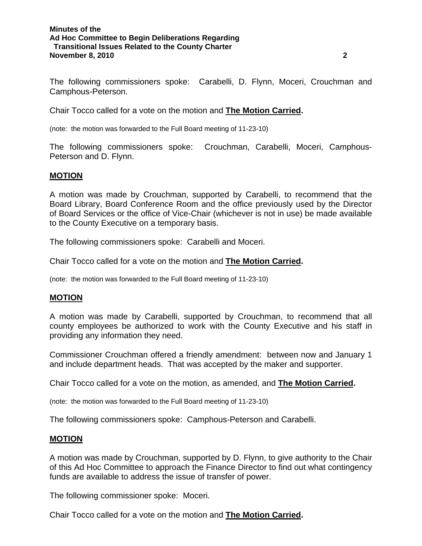#### **Minutes of the Ad Hoc Committee to Begin Deliberations Regarding Transitional Issues Related to the County Charter November 8, 2010 2**

The following commissioners spoke: Carabelli, D. Flynn, Moceri, Crouchman and Camphous-Peterson.

Chair Tocco called for a vote on the motion and **The Motion Carried.** 

(note: the motion was forwarded to the Full Board meeting of 11-23-10)

The following commissioners spoke: Crouchman, Carabelli, Moceri, Camphous-Peterson and D. Flynn.

### **MOTION**

A motion was made by Crouchman, supported by Carabelli, to recommend that the Board Library, Board Conference Room and the office previously used by the Director of Board Services or the office of Vice-Chair (whichever is not in use) be made available to the County Executive on a temporary basis.

The following commissioners spoke: Carabelli and Moceri.

Chair Tocco called for a vote on the motion and **The Motion Carried.** 

(note: the motion was forwarded to the Full Board meeting of 11-23-10)

### **MOTION**

A motion was made by Carabelli, supported by Crouchman, to recommend that all county employees be authorized to work with the County Executive and his staff in providing any information they need.

Commissioner Crouchman offered a friendly amendment: between now and January 1 and include department heads. That was accepted by the maker and supporter.

Chair Tocco called for a vote on the motion, as amended, and **The Motion Carried.** 

(note: the motion was forwarded to the Full Board meeting of 11-23-10)

The following commissioners spoke: Camphous-Peterson and Carabelli.

### **MOTION**

A motion was made by Crouchman, supported by D. Flynn, to give authority to the Chair of this Ad Hoc Committee to approach the Finance Director to find out what contingency funds are available to address the issue of transfer of power.

The following commissioner spoke: Moceri.

Chair Tocco called for a vote on the motion and **The Motion Carried.**